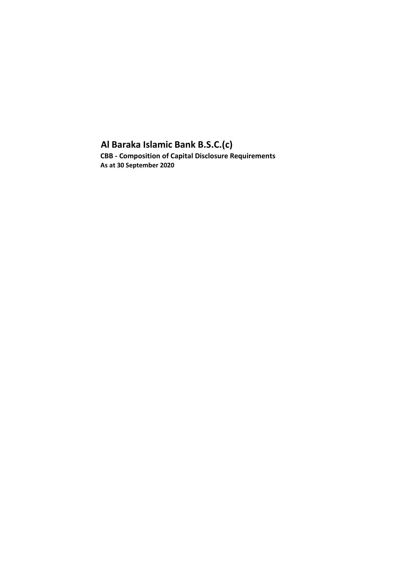# **Al Baraka Islamic Bank B.S.C.(c) CBB - Composition of Capital Disclosure Requirements**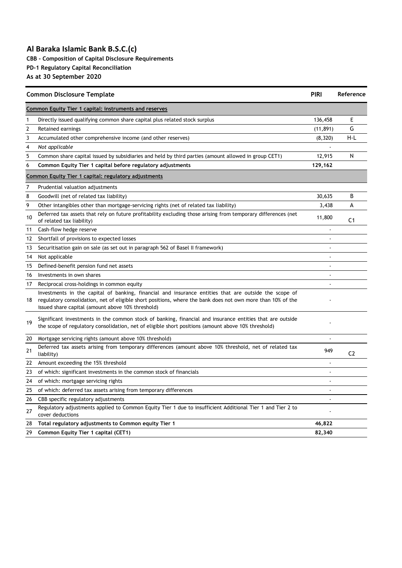**CBB - Composition of Capital Disclosure Requirements**

**PD-1 Regulatory Capital Reconciliation**

| <b>Common Disclosure Template</b>                    |                                                                                                                                                                                                                                                                           |                      | Reference      |  |  |  |
|------------------------------------------------------|---------------------------------------------------------------------------------------------------------------------------------------------------------------------------------------------------------------------------------------------------------------------------|----------------------|----------------|--|--|--|
|                                                      | Common Equity Tier 1 capital: instruments and reserves                                                                                                                                                                                                                    |                      |                |  |  |  |
| 1                                                    | Directly issued qualifying common share capital plus related stock surplus                                                                                                                                                                                                | 136,458              | Ε              |  |  |  |
| $\overline{2}$                                       | Retained earnings                                                                                                                                                                                                                                                         | (11, 891)            | G              |  |  |  |
| 3                                                    | Accumulated other comprehensive income (and other reserves)                                                                                                                                                                                                               | (8, 320)             | H-L            |  |  |  |
| 4                                                    | Not applicable                                                                                                                                                                                                                                                            |                      |                |  |  |  |
| 5                                                    | Common share capital issued by subsidiaries and held by third parties (amount allowed in group CET1)                                                                                                                                                                      | 12,915               | N              |  |  |  |
| 6                                                    | Common Equity Tier 1 capital before regulatory adjustments                                                                                                                                                                                                                | 129,162              |                |  |  |  |
| Common Equity Tier 1 capital: regulatory adjustments |                                                                                                                                                                                                                                                                           |                      |                |  |  |  |
| 7                                                    | Prudential valuation adjustments                                                                                                                                                                                                                                          |                      |                |  |  |  |
| 8                                                    | Goodwill (net of related tax liability)                                                                                                                                                                                                                                   | 30,635               | B              |  |  |  |
| 9                                                    | Other intangibles other than mortgage-servicing rights (net of related tax liability)                                                                                                                                                                                     | 3,438                | A              |  |  |  |
| 10                                                   | Deferred tax assets that rely on future profitability excluding those arising from temporary differences (net<br>of related tax liability)                                                                                                                                | 11,800               | C <sub>1</sub> |  |  |  |
| 11                                                   | Cash-flow hedge reserve                                                                                                                                                                                                                                                   | ÷,                   |                |  |  |  |
| 12                                                   | Shortfall of provisions to expected losses                                                                                                                                                                                                                                | ÷.                   |                |  |  |  |
| 13                                                   | Securitisation gain on sale (as set out in paragraph 562 of Basel II framework)                                                                                                                                                                                           |                      |                |  |  |  |
| 14                                                   | Not applicable                                                                                                                                                                                                                                                            |                      |                |  |  |  |
| 15                                                   | Defined-benefit pension fund net assets                                                                                                                                                                                                                                   |                      |                |  |  |  |
| 16                                                   | Investments in own shares                                                                                                                                                                                                                                                 |                      |                |  |  |  |
| 17                                                   | Reciprocal cross-holdings in common equity                                                                                                                                                                                                                                |                      |                |  |  |  |
| 18                                                   | Investments in the capital of banking, financial and insurance entities that are outside the scope of<br>regulatory consolidation, net of eligible short positions, where the bank does not own more than 10% of the<br>issued share capital (amount above 10% threshold) |                      |                |  |  |  |
| 19                                                   | Significant investments in the common stock of banking, financial and insurance entities that are outside<br>the scope of regulatory consolidation, net of eligible short positions (amount above 10% threshold)                                                          |                      |                |  |  |  |
| 20                                                   | Mortgage servicing rights (amount above 10% threshold)                                                                                                                                                                                                                    | $\ddot{\phantom{0}}$ |                |  |  |  |
| 21                                                   | Deferred tax assets arising from temporary differences (amount above 10% threshold, net of related tax<br>liability)                                                                                                                                                      | 949                  | C <sub>2</sub> |  |  |  |
| 22                                                   | Amount exceeding the 15% threshold                                                                                                                                                                                                                                        |                      |                |  |  |  |
| 23                                                   | of which: significant investments in the common stock of financials                                                                                                                                                                                                       | $\ddot{\phantom{1}}$ |                |  |  |  |
| 24                                                   | of which: mortgage servicing rights                                                                                                                                                                                                                                       | $\ddot{\phantom{0}}$ |                |  |  |  |
| 25                                                   | of which: deferred tax assets arising from temporary differences                                                                                                                                                                                                          | $\blacksquare$       |                |  |  |  |
| 26                                                   | CBB specific regulatory adjustments                                                                                                                                                                                                                                       | $\ddot{\phantom{0}}$ |                |  |  |  |
| 27                                                   | Regulatory adjustments applied to Common Equity Tier 1 due to insufficient Additional Tier 1 and Tier 2 to<br>cover deductions                                                                                                                                            |                      |                |  |  |  |
| 28                                                   | Total regulatory adjustments to Common equity Tier 1                                                                                                                                                                                                                      | 46,822               |                |  |  |  |
| 29                                                   | Common Equity Tier 1 capital (CET1)                                                                                                                                                                                                                                       | 82,340               |                |  |  |  |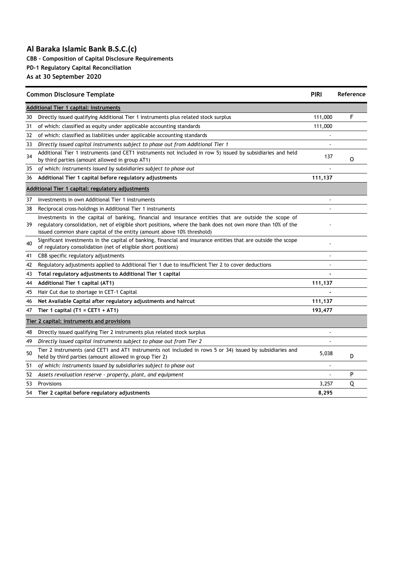**CBB - Composition of Capital Disclosure Requirements**

**PD-1 Regulatory Capital Reconciliation**

| <b>Common Disclosure Template</b> |                                                                                                                                                                                                                                                                                                |         | Reference |  |  |  |  |
|-----------------------------------|------------------------------------------------------------------------------------------------------------------------------------------------------------------------------------------------------------------------------------------------------------------------------------------------|---------|-----------|--|--|--|--|
|                                   | <b>Additional Tier 1 capital: instruments</b>                                                                                                                                                                                                                                                  |         |           |  |  |  |  |
| 30                                | Directly issued qualifying Additional Tier 1 instruments plus related stock surplus                                                                                                                                                                                                            | 111,000 | F         |  |  |  |  |
| 31                                | of which: classified as equity under applicable accounting standards                                                                                                                                                                                                                           | 111,000 |           |  |  |  |  |
| 32                                | of which: classified as liabilities under applicable accounting standards                                                                                                                                                                                                                      |         |           |  |  |  |  |
| 33                                | Directly issued capital instruments subject to phase out from Additional Tier 1                                                                                                                                                                                                                |         |           |  |  |  |  |
| 34                                | Additional Tier 1 instruments (and CET1 instruments not included in row 5) issued by subsidiaries and held<br>by third parties (amount allowed in group AT1)                                                                                                                                   | 137     | O         |  |  |  |  |
| 35                                | of which: instruments issued by subsidiaries subject to phase out                                                                                                                                                                                                                              |         |           |  |  |  |  |
| 36                                | Additional Tier 1 capital before regulatory adjustments                                                                                                                                                                                                                                        | 111,137 |           |  |  |  |  |
|                                   | Additional Tier 1 capital: regulatory adjustments                                                                                                                                                                                                                                              |         |           |  |  |  |  |
| 37                                | Investments in own Additional Tier 1 instruments                                                                                                                                                                                                                                               |         |           |  |  |  |  |
| 38                                | Reciprocal cross-holdings in Additional Tier 1 instruments                                                                                                                                                                                                                                     |         |           |  |  |  |  |
| 39                                | Investments in the capital of banking, financial and insurance entities that are outside the scope of<br>regulatory consolidation, net of eligible short positions, where the bank does not own more than 10% of the<br>issued common share capital of the entity (amount above 10% threshold) |         |           |  |  |  |  |
| 40                                | Significant investments in the capital of banking, financial and insurance entities that are outside the scope<br>of regulatory consolidation (net of eligible short positions)                                                                                                                |         |           |  |  |  |  |
| 41                                | CBB specific regulatory adjustments                                                                                                                                                                                                                                                            |         |           |  |  |  |  |
| 42                                | Regulatory adjustments applied to Additional Tier 1 due to insufficient Tier 2 to cover deductions                                                                                                                                                                                             |         |           |  |  |  |  |
| 43                                | Total regulatory adjustments to Additional Tier 1 capital                                                                                                                                                                                                                                      |         |           |  |  |  |  |
| 44                                | Additional Tier 1 capital (AT1)                                                                                                                                                                                                                                                                | 111,137 |           |  |  |  |  |
| 45                                | Hair Cut due to shortage in CET-1 Capital                                                                                                                                                                                                                                                      |         |           |  |  |  |  |
| 46                                | Net Available Capital after regulatory adjustments and haircut                                                                                                                                                                                                                                 | 111,137 |           |  |  |  |  |
| 47                                | Tier 1 capital (T1 = CET1 + AT1)                                                                                                                                                                                                                                                               | 193,477 |           |  |  |  |  |
|                                   | Tier 2 capital: instruments and provisions                                                                                                                                                                                                                                                     |         |           |  |  |  |  |
| 48                                | Directly issued qualifying Tier 2 instruments plus related stock surplus                                                                                                                                                                                                                       |         |           |  |  |  |  |
| 49                                | Directly issued capital instruments subject to phase out from Tier 2                                                                                                                                                                                                                           |         |           |  |  |  |  |
| 50                                | Tier 2 instruments (and CET1 and AT1 instruments not included in rows 5 or 34) issued by subsidiaries and<br>held by third parties (amount allowed in group Tier 2)                                                                                                                            | 5,038   | D         |  |  |  |  |
| 51                                | of which: instruments issued by subsidiaries subject to phase out                                                                                                                                                                                                                              |         |           |  |  |  |  |
| 52                                | Assets revaluation reserve - property, plant, and equipment                                                                                                                                                                                                                                    |         | P         |  |  |  |  |
| 53                                | Provisions                                                                                                                                                                                                                                                                                     | 3,257   | Q         |  |  |  |  |
| 54                                | Tier 2 capital before regulatory adjustments                                                                                                                                                                                                                                                   | 8,295   |           |  |  |  |  |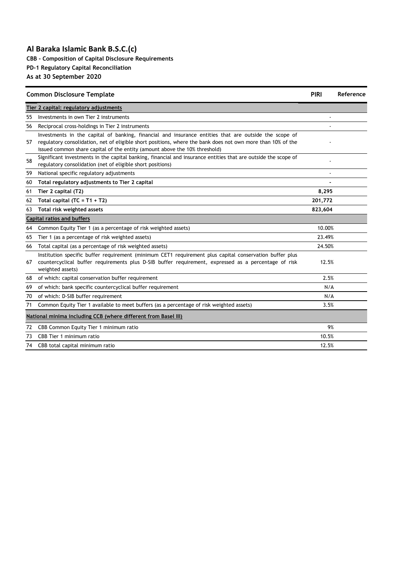**CBB - Composition of Capital Disclosure Requirements PD-1 Regulatory Capital Reconciliation**

|    | <b>Common Disclosure Template</b>                                                                                                                                                                                                                                                                  | <b>PIRI</b> | Reference |
|----|----------------------------------------------------------------------------------------------------------------------------------------------------------------------------------------------------------------------------------------------------------------------------------------------------|-------------|-----------|
|    | Tier 2 capital: regulatory adjustments                                                                                                                                                                                                                                                             |             |           |
| 55 | Investments in own Tier 2 instruments                                                                                                                                                                                                                                                              |             |           |
| 56 | Reciprocal cross-holdings in Tier 2 instruments                                                                                                                                                                                                                                                    |             |           |
| 57 | Investments in the capital of banking, financial and insurance entities that are outside the scope of<br>regulatory consolidation, net of eligible short positions, where the bank does not own more than 10% of the<br>issued common share capital of the entity (amount above the 10% threshold) |             |           |
| 58 | Significant investments in the capital banking, financial and insurance entities that are outside the scope of<br>regulatory consolidation (net of eligible short positions)                                                                                                                       |             |           |
| 59 | National specific regulatory adjustments                                                                                                                                                                                                                                                           |             |           |
| 60 | Total regulatory adjustments to Tier 2 capital                                                                                                                                                                                                                                                     |             |           |
| 61 | Tier 2 capital (T2)                                                                                                                                                                                                                                                                                | 8,295       |           |
| 62 | Total capital (TC = $T1 + T2$ )                                                                                                                                                                                                                                                                    | 201,772     |           |
| 63 | Total risk weighted assets                                                                                                                                                                                                                                                                         | 823,604     |           |
|    | <b>Capital ratios and buffers</b>                                                                                                                                                                                                                                                                  |             |           |
| 64 | Common Equity Tier 1 (as a percentage of risk weighted assets)                                                                                                                                                                                                                                     | 10.00%      |           |
| 65 | Tier 1 (as a percentage of risk weighted assets)                                                                                                                                                                                                                                                   | 23.49%      |           |
| 66 | Total capital (as a percentage of risk weighted assets)                                                                                                                                                                                                                                            | 24.50%      |           |
| 67 | Institution specific buffer requirement (minimum CET1 requirement plus capital conservation buffer plus<br>countercyclical buffer requirements plus D-SIB buffer requirement, expressed as a percentage of risk<br>weighted assets)                                                                | 12.5%       |           |
| 68 | of which: capital conservation buffer requirement                                                                                                                                                                                                                                                  | 2.5%        |           |
| 69 | of which: bank specific countercyclical buffer requirement                                                                                                                                                                                                                                         | N/A         |           |
| 70 | of which: D-SIB buffer requirement                                                                                                                                                                                                                                                                 | N/A         |           |
| 71 | Common Equity Tier 1 available to meet buffers (as a percentage of risk weighted assets)                                                                                                                                                                                                           | 3.5%        |           |
|    | National minima including CCB (where different from Basel III)                                                                                                                                                                                                                                     |             |           |
| 72 | CBB Common Equity Tier 1 minimum ratio                                                                                                                                                                                                                                                             | 9%          |           |
| 73 | CBB Tier 1 minimum ratio                                                                                                                                                                                                                                                                           | 10.5%       |           |
| 74 | CBB total capital minimum ratio                                                                                                                                                                                                                                                                    | 12.5%       |           |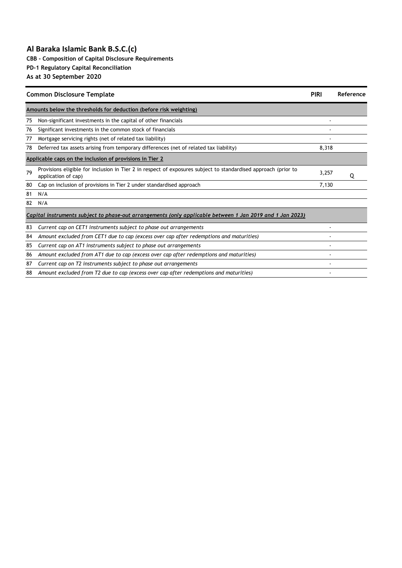**CBB - Composition of Capital Disclosure Requirements**

**PD-1 Regulatory Capital Reconciliation**

| <b>Common Disclosure Template</b>                        | <b>PIRI</b>                                                                                                                           | Reference |   |  |  |  |  |
|----------------------------------------------------------|---------------------------------------------------------------------------------------------------------------------------------------|-----------|---|--|--|--|--|
|                                                          | Amounts below the thresholds for deduction (before risk weighting)                                                                    |           |   |  |  |  |  |
| 75                                                       | Non-significant investments in the capital of other financials                                                                        |           |   |  |  |  |  |
| 76                                                       | Significant investments in the common stock of financials                                                                             |           |   |  |  |  |  |
| 77                                                       | Mortgage servicing rights (net of related tax liability)                                                                              |           |   |  |  |  |  |
| 78                                                       | Deferred tax assets arising from temporary differences (net of related tax liability)                                                 | 8,318     |   |  |  |  |  |
| Applicable caps on the inclusion of provisions in Tier 2 |                                                                                                                                       |           |   |  |  |  |  |
| 79                                                       | Provisions eligible for inclusion in Tier 2 in respect of exposures subject to standardised approach (prior to<br>application of cap) | 3,257     | 0 |  |  |  |  |
| 80                                                       | Cap on inclusion of provisions in Tier 2 under standardised approach                                                                  | 7,130     |   |  |  |  |  |
| 81                                                       | N/A                                                                                                                                   |           |   |  |  |  |  |
| 82                                                       | N/A                                                                                                                                   |           |   |  |  |  |  |
|                                                          | Capital instruments subject to phase-out arrangements (only applicable between 1 Jan 2019 and 1 Jan 2023)                             |           |   |  |  |  |  |
| 83                                                       | Current cap on CET1 instruments subject to phase out arrangements                                                                     |           |   |  |  |  |  |
| 84                                                       | Amount excluded from CET1 due to cap (excess over cap after redemptions and maturities)                                               |           |   |  |  |  |  |
| 85                                                       | Current cap on AT1 instruments subject to phase out arrangements                                                                      |           |   |  |  |  |  |
| 86                                                       | Amount excluded from AT1 due to cap (excess over cap after redemptions and maturities)                                                |           |   |  |  |  |  |
| 87                                                       | Current cap on T2 instruments subject to phase out arrangements                                                                       |           |   |  |  |  |  |
| 88                                                       | Amount excluded from T2 due to cap (excess over cap after redemptions and maturities)                                                 |           |   |  |  |  |  |
|                                                          |                                                                                                                                       |           |   |  |  |  |  |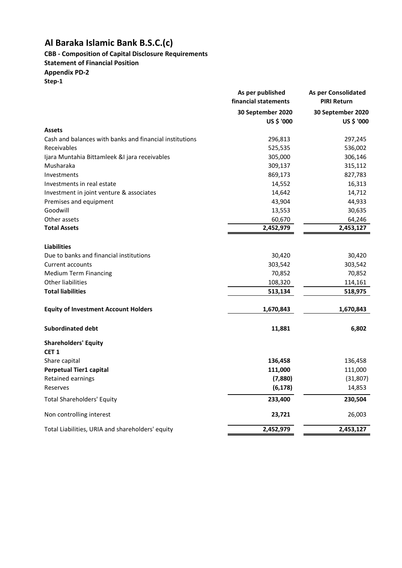# **CBB - Composition of Capital Disclosure Requirements**

**Statement of Financial Position**

**Appendix PD-2**

|                                                         | As per published<br>financial statements | As per Consolidated<br><b>PIRI Return</b> |
|---------------------------------------------------------|------------------------------------------|-------------------------------------------|
|                                                         | 30 September 2020<br>US \$ '000          | 30 September 2020<br>US \$ '000           |
| <b>Assets</b>                                           |                                          |                                           |
| Cash and balances with banks and financial institutions | 296,813                                  | 297,245                                   |
| Receivables                                             | 525,535                                  | 536,002                                   |
| Ijara Muntahia Bittamleek &I jara receivables           | 305,000                                  | 306,146                                   |
| Musharaka                                               | 309,137                                  | 315,112                                   |
| Investments                                             | 869,173                                  | 827,783                                   |
| Investments in real estate                              | 14,552                                   | 16,313                                    |
| Investment in joint venture & associates                | 14,642                                   | 14,712                                    |
| Premises and equipment                                  | 43,904                                   | 44,933                                    |
| Goodwill                                                | 13,553                                   | 30,635                                    |
| Other assets                                            | 60,670                                   | 64,246                                    |
| <b>Total Assets</b>                                     | 2,452,979                                | 2,453,127                                 |
| <b>Liabilities</b>                                      |                                          |                                           |
| Due to banks and financial institutions                 | 30,420                                   | 30,420                                    |
| Current accounts                                        | 303,542                                  | 303,542                                   |
| <b>Medium Term Financing</b>                            | 70,852                                   | 70,852                                    |
| <b>Other liabilities</b>                                | 108,320                                  | 114,161                                   |
| <b>Total liabilities</b>                                | 513,134                                  | 518,975                                   |
| <b>Equity of Investment Account Holders</b>             | 1,670,843                                | 1,670,843                                 |
| <b>Subordinated debt</b>                                | 11,881                                   | 6,802                                     |
| <b>Shareholders' Equity</b>                             |                                          |                                           |
| CET <sub>1</sub>                                        |                                          |                                           |
| Share capital                                           | 136,458                                  | 136,458                                   |
| Perpetual Tier1 capital                                 | 111,000                                  | 111,000                                   |
| Retained earnings                                       | (7,880)                                  | (31, 807)                                 |
| Reserves                                                | (6, 178)                                 | 14,853                                    |
| <b>Total Shareholders' Equity</b>                       | 233,400                                  | 230,504                                   |
| Non controlling interest                                | 23,721                                   | 26,003                                    |
| Total Liabilities, URIA and shareholders' equity        | 2,452,979                                | 2,453,127                                 |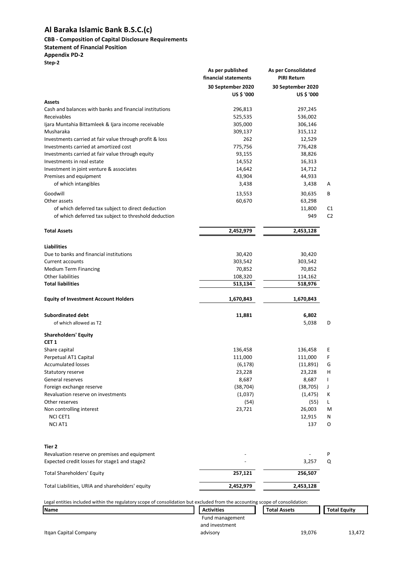### **CBB - Composition of Capital Disclosure Requirements**

## **Statement of Financial Position**

#### **Appendix PD-2**

**Step-2**

|                                                                                                                               | As per published<br>financial statements | As per Consolidated<br><b>PIRI Return</b> |                     |
|-------------------------------------------------------------------------------------------------------------------------------|------------------------------------------|-------------------------------------------|---------------------|
|                                                                                                                               | 30 September 2020<br>US \$ '000          | 30 September 2020<br>US \$ '000           |                     |
| Assets                                                                                                                        |                                          |                                           |                     |
| Cash and balances with banks and financial institutions                                                                       | 296,813                                  | 297,245                                   |                     |
| Receivables                                                                                                                   | 525,535                                  | 536,002                                   |                     |
| Ijara Muntahia Bittamleek & Ijara income receivable                                                                           | 305,000                                  | 306,146                                   |                     |
| Musharaka                                                                                                                     | 309,137                                  | 315,112                                   |                     |
| Investments carried at fair value through profit & loss                                                                       | 262                                      | 12,529                                    |                     |
| Investments carried at amortized cost                                                                                         | 775,756                                  | 776,428                                   |                     |
| Investments carried at fair value through equity                                                                              | 93,155                                   | 38,826                                    |                     |
| Investments in real estate                                                                                                    | 14,552                                   | 16,313                                    |                     |
| Investment in joint venture & associates                                                                                      | 14,642                                   | 14,712                                    |                     |
| Premises and equipment                                                                                                        | 43,904                                   | 44,933                                    |                     |
| of which intangibles                                                                                                          | 3,438                                    | 3,438                                     | A                   |
| Goodwill                                                                                                                      | 13,553                                   | 30,635                                    | В                   |
| Other assets                                                                                                                  | 60,670                                   | 63,298                                    |                     |
| of which deferred tax subject to direct deduction                                                                             |                                          | 11,800                                    | C1                  |
| of which deferred tax subject to threshold deduction                                                                          |                                          | 949                                       | C <sub>2</sub>      |
| <b>Total Assets</b>                                                                                                           | 2,452,979                                | 2,453,128                                 |                     |
|                                                                                                                               |                                          |                                           |                     |
| <b>Liabilities</b><br>Due to banks and financial institutions                                                                 | 30,420                                   | 30,420                                    |                     |
| <b>Current accounts</b>                                                                                                       | 303,542                                  | 303,542                                   |                     |
| Medium Term Financing                                                                                                         | 70,852                                   | 70,852                                    |                     |
| <b>Other liabilities</b>                                                                                                      | 108,320                                  | 114,162                                   |                     |
| <b>Total liabilities</b>                                                                                                      | 513,134                                  | 518,976                                   |                     |
| <b>Equity of Investment Account Holders</b>                                                                                   | 1,670,843                                | 1,670,843                                 |                     |
|                                                                                                                               |                                          |                                           |                     |
| <b>Subordinated debt</b><br>of which allowed as T2                                                                            | 11,881                                   | 6,802<br>5,038                            | D                   |
| <b>Shareholders' Equity</b>                                                                                                   |                                          |                                           |                     |
| CET 1                                                                                                                         |                                          |                                           |                     |
| Share capital<br>Perpetual AT1 Capital                                                                                        | 136,458                                  | 136,458                                   | Ε                   |
| <b>Accumulated losses</b>                                                                                                     | 111,000<br>(6, 178)                      | 111,000<br>(11,891)                       | F<br>G              |
|                                                                                                                               |                                          |                                           |                     |
| Statutory reserve                                                                                                             | 23,228                                   | 23,228                                    | н                   |
| General reserves                                                                                                              | 8,687                                    | 8,687                                     | I                   |
| Foreign exchange reserve                                                                                                      | (38, 704)                                | (38, 705)                                 | J                   |
| Revaluation reserve on investments                                                                                            | (1,037)                                  | (1, 475)                                  | K                   |
| Other reserves                                                                                                                | (54)                                     | (55)                                      | L                   |
| Non controlling interest                                                                                                      | 23,721                                   | 26,003                                    | M                   |
| <b>NCI CET1</b>                                                                                                               |                                          | 12,915                                    | Ν                   |
| <b>NCI AT1</b>                                                                                                                |                                          | 137                                       | 0                   |
| Tier 2                                                                                                                        |                                          |                                           |                     |
| Revaluation reserve on premises and equipment                                                                                 |                                          |                                           | P                   |
| Expected credit losses for stage1 and stage2                                                                                  |                                          | 3,257                                     | Q                   |
| <b>Total Shareholders' Equity</b>                                                                                             | 257,121                                  | 256,507                                   |                     |
| Total Liabilities, URIA and shareholders' equity                                                                              | 2,452,979                                | 2,453,128                                 |                     |
| Legal entities included within the regulatory scope of consolidation but excluded from the accounting scope of consolidation: |                                          |                                           |                     |
| Name                                                                                                                          | <b>Activities</b>                        | <b>Total Assets</b>                       | <b>Total Equity</b> |
|                                                                                                                               | Fund management                          |                                           |                     |
|                                                                                                                               |                                          |                                           |                     |